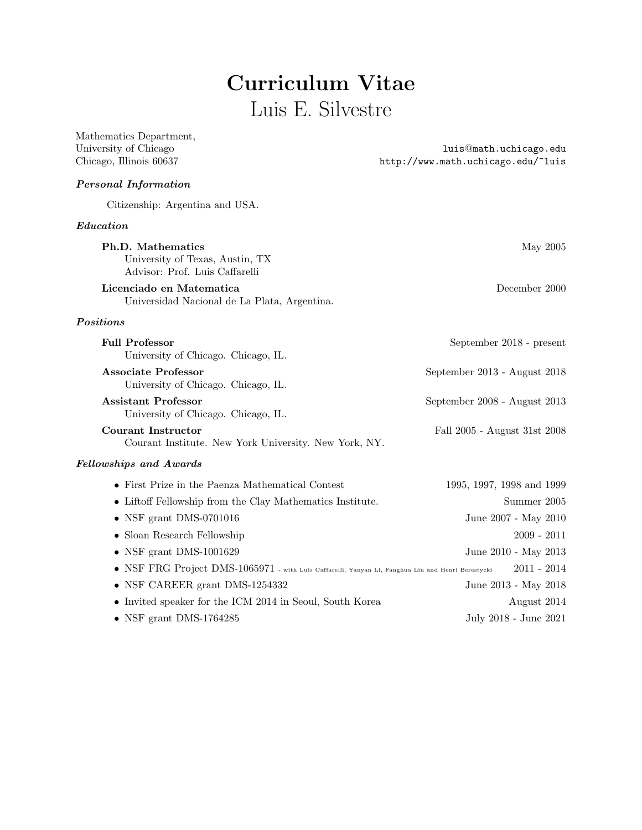# Curriculum Vitae Luis E. Silvestre

| Mathematics Department,<br>University of Chicago<br>Chicago, Illinois 60637                       | luis@math.uchicago.edu<br>http://www.math.uchicago.edu/~luis |
|---------------------------------------------------------------------------------------------------|--------------------------------------------------------------|
| <b>Personal Information</b>                                                                       |                                                              |
| Citizenship: Argentina and USA.                                                                   |                                                              |
| Education                                                                                         |                                                              |
| <b>Ph.D.</b> Mathematics<br>University of Texas, Austin, TX<br>Advisor: Prof. Luis Caffarelli     | May 2005                                                     |
| Licenciado en Matematica<br>Universidad Nacional de La Plata, Argentina.                          | December 2000                                                |
| Positions                                                                                         |                                                              |
| <b>Full Professor</b><br>University of Chicago. Chicago, IL.                                      | September 2018 - present                                     |
| <b>Associate Professor</b><br>University of Chicago. Chicago, IL.                                 | September 2013 - August 2018                                 |
| <b>Assistant Professor</b><br>University of Chicago. Chicago, IL.                                 | September 2008 - August 2013                                 |
| <b>Courant Instructor</b><br>Courant Institute. New York University. New York, NY.                | Fall 2005 - August 31st 2008                                 |
| Fellowships and Awards                                                                            |                                                              |
| • First Prize in the Paenza Mathematical Contest                                                  | 1995, 1997, 1998 and 1999                                    |
| $\bullet\,$ Liftoff Fellowship from the Clay Mathematics Institute.                               | Summer 2005                                                  |
| $\bullet$ NSF grant DMS-0701016                                                                   | June 2007 - May 2010                                         |
| $\bullet$ Sloan Research Fellowship                                                               | $2009 - 2011$                                                |
| $\bullet$ NSF grant DMS-1001629                                                                   | June 2010 - May 2013                                         |
| • NSF FRG Project DMS-1065971 - with Luis Caffarelli, Yanyan Li, Fanghua Lin and Henri Berestycki | 2011 - 2014                                                  |
| NSF CAREER grant DMS-1254332                                                                      | June 2013 - May 2018                                         |
| • Invited speaker for the ICM 2014 in Seoul, South Korea                                          | August 2014                                                  |
| • NSF grant DMS-1764285                                                                           | July 2018 - June 2021                                        |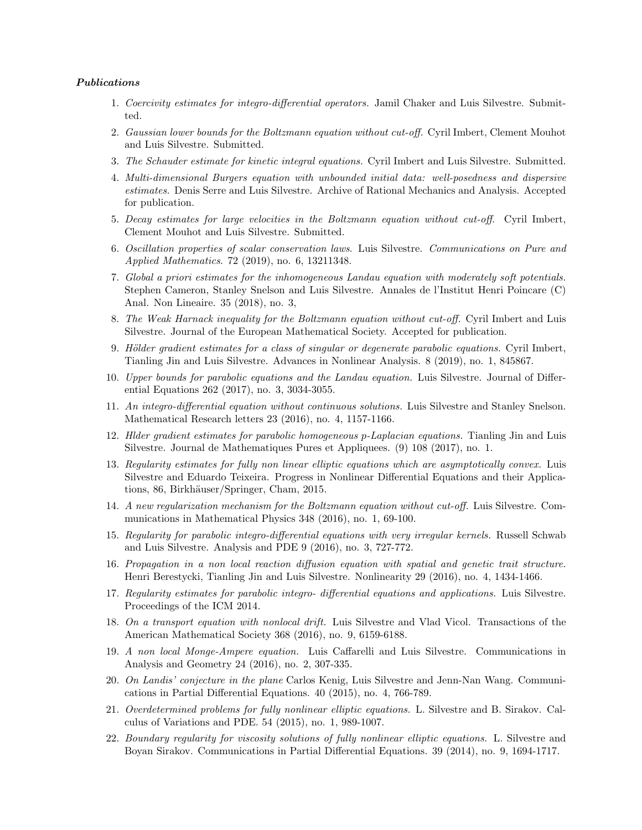#### Publications

- 1. Coercivity estimates for integro-differential operators. Jamil Chaker and Luis Silvestre. Submitted.
- 2. Gaussian lower bounds for the Boltzmann equation without cut-off. Cyril Imbert, Clement Mouhot and Luis Silvestre. Submitted.
- 3. The Schauder estimate for kinetic integral equations. Cyril Imbert and Luis Silvestre. Submitted.
- 4. Multi-dimensional Burgers equation with unbounded initial data: well-posedness and dispersive estimates. Denis Serre and Luis Silvestre. Archive of Rational Mechanics and Analysis. Accepted for publication.
- 5. Decay estimates for large velocities in the Boltzmann equation without cut-off. Cyril Imbert, Clement Mouhot and Luis Silvestre. Submitted.
- 6. Oscillation properties of scalar conservation laws. Luis Silvestre. Communications on Pure and Applied Mathematics. 72 (2019), no. 6, 13211348.
- 7. Global a priori estimates for the inhomogeneous Landau equation with moderately soft potentials. Stephen Cameron, Stanley Snelson and Luis Silvestre. Annales de l'Institut Henri Poincare (C) Anal. Non Lineaire. 35 (2018), no. 3,
- 8. The Weak Harnack inequality for the Boltzmann equation without cut-off. Cyril Imbert and Luis Silvestre. Journal of the European Mathematical Society. Accepted for publication.
- 9. Hölder gradient estimates for a class of singular or degenerate parabolic equations. Cyril Imbert, Tianling Jin and Luis Silvestre. Advances in Nonlinear Analysis. 8 (2019), no. 1, 845867.
- 10. Upper bounds for parabolic equations and the Landau equation. Luis Silvestre. Journal of Differential Equations 262 (2017), no. 3, 3034-3055.
- 11. An integro-differential equation without continuous solutions. Luis Silvestre and Stanley Snelson. Mathematical Research letters 23 (2016), no. 4, 1157-1166.
- 12. Hlder gradient estimates for parabolic homogeneous p-Laplacian equations. Tianling Jin and Luis Silvestre. Journal de Mathematiques Pures et Appliquees. (9) 108 (2017), no. 1.
- 13. Regularity estimates for fully non linear elliptic equations which are asymptotically convex. Luis Silvestre and Eduardo Teixeira. Progress in Nonlinear Differential Equations and their Applications, 86, Birkhäuser/Springer, Cham, 2015.
- 14. A new regularization mechanism for the Boltzmann equation without cut-off. Luis Silvestre. Communications in Mathematical Physics 348 (2016), no. 1, 69-100.
- 15. Regularity for parabolic integro-differential equations with very irregular kernels. Russell Schwab and Luis Silvestre. Analysis and PDE 9 (2016), no. 3, 727-772.
- 16. Propagation in a non local reaction diffusion equation with spatial and genetic trait structure. Henri Berestycki, Tianling Jin and Luis Silvestre. Nonlinearity 29 (2016), no. 4, 1434-1466.
- 17. Regularity estimates for parabolic integro- differential equations and applications. Luis Silvestre. Proceedings of the ICM 2014.
- 18. On a transport equation with nonlocal drift. Luis Silvestre and Vlad Vicol. Transactions of the American Mathematical Society 368 (2016), no. 9, 6159-6188.
- 19. A non local Monge-Ampere equation. Luis Caffarelli and Luis Silvestre. Communications in Analysis and Geometry 24 (2016), no. 2, 307-335.
- 20. On Landis' conjecture in the plane Carlos Kenig, Luis Silvestre and Jenn-Nan Wang. Communications in Partial Differential Equations. 40 (2015), no. 4, 766-789.
- 21. Overdetermined problems for fully nonlinear elliptic equations. L. Silvestre and B. Sirakov. Calculus of Variations and PDE. 54 (2015), no. 1, 989-1007.
- 22. Boundary regularity for viscosity solutions of fully nonlinear elliptic equations. L. Silvestre and Boyan Sirakov. Communications in Partial Differential Equations. 39 (2014), no. 9, 1694-1717.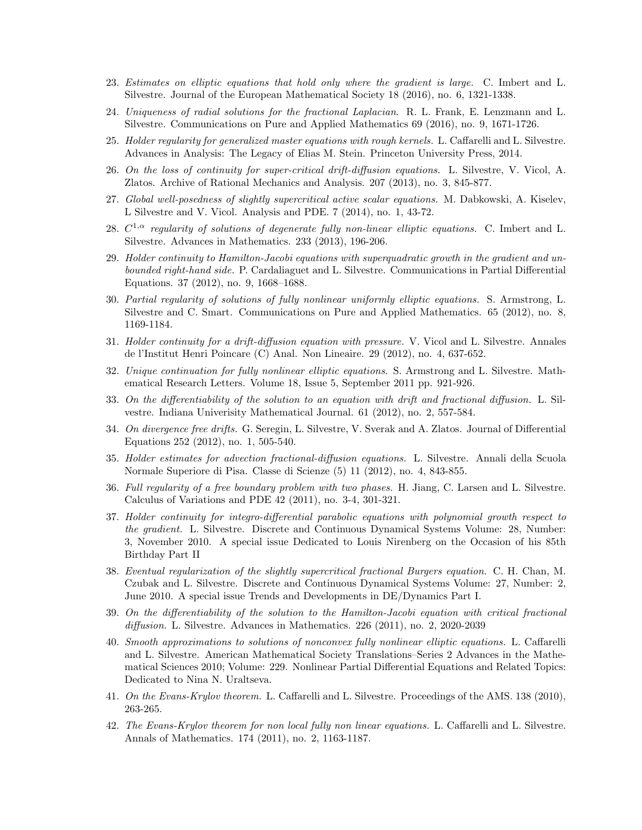- 23. Estimates on elliptic equations that hold only where the gradient is large. C. Imbert and L. Silvestre. Journal of the European Mathematical Society 18 (2016), no. 6, 1321-1338.
- 24. Uniqueness of radial solutions for the fractional Laplacian. R. L. Frank, E. Lenzmann and L. Silvestre. Communications on Pure and Applied Mathematics 69 (2016), no. 9, 1671-1726.
- 25. Holder regularity for generalized master equations with rough kernels. L. Caffarelli and L. Silvestre. Advances in Analysis: The Legacy of Elias M. Stein. Princeton University Press, 2014.
- 26. On the loss of continuity for super-critical drift-diffusion equations. L. Silvestre, V. Vicol, A. Zlatos. Archive of Rational Mechanics and Analysis. 207 (2013), no. 3, 845-877.
- 27. Global well-posedness of slightly supercritical active scalar equations. M. Dabkowski, A. Kiselev, L Silvestre and V. Vicol. Analysis and PDE. 7 (2014), no. 1, 43-72.
- 28.  $C^{1,\alpha}$  regularity of solutions of degenerate fully non-linear elliptic equations. C. Imbert and L. Silvestre. Advances in Mathematics. 233 (2013), 196-206.
- 29. Holder continuity to Hamilton-Jacobi equations with superquadratic growth in the gradient and unbounded right-hand side. P. Cardaliaguet and L. Silvestre. Communications in Partial Differential Equations. 37 (2012), no. 9, 1668–1688.
- 30. Partial regularity of solutions of fully nonlinear uniformly elliptic equations. S. Armstrong, L. Silvestre and C. Smart. Communications on Pure and Applied Mathematics. 65 (2012), no. 8, 1169-1184.
- 31. Holder continuity for a drift-diffusion equation with pressure. V. Vicol and L. Silvestre. Annales de l'Institut Henri Poincare (C) Anal. Non Lineaire. 29 (2012), no. 4, 637-652.
- 32. Unique continuation for fully nonlinear elliptic equations. S. Armstrong and L. Silvestre. Mathematical Research Letters. Volume 18, Issue 5, September 2011 pp. 921-926.
- 33. On the differentiability of the solution to an equation with drift and fractional diffusion. L. Silvestre. Indiana Univerisity Mathematical Journal. 61 (2012), no. 2, 557-584.
- 34. On divergence free drifts. G. Seregin, L. Silvestre, V. Sverak and A. Zlatos. Journal of Differential Equations 252 (2012), no. 1, 505-540.
- 35. Holder estimates for advection fractional-diffusion equations. L. Silvestre. Annali della Scuola Normale Superiore di Pisa. Classe di Scienze (5) 11 (2012), no. 4, 843-855.
- 36. Full regularity of a free boundary problem with two phases. H. Jiang, C. Larsen and L. Silvestre. Calculus of Variations and PDE 42 (2011), no. 3-4, 301-321.
- 37. Holder continuity for integro-differential parabolic equations with polynomial growth respect to the gradient. L. Silvestre. Discrete and Continuous Dynamical Systems Volume: 28, Number: 3, November 2010. A special issue Dedicated to Louis Nirenberg on the Occasion of his 85th Birthday Part II
- 38. Eventual regularization of the slightly supercritical fractional Burgers equation. C. H. Chan, M. Czubak and L. Silvestre. Discrete and Continuous Dynamical Systems Volume: 27, Number: 2, June 2010. A special issue Trends and Developments in DE/Dynamics Part I.
- 39. On the differentiability of the solution to the Hamilton-Jacobi equation with critical fractional diffusion. L. Silvestre. Advances in Mathematics. 226 (2011), no. 2, 2020-2039
- 40. Smooth approximations to solutions of nonconvex fully nonlinear elliptic equations. L. Caffarelli and L. Silvestre. American Mathematical Society Translations–Series 2 Advances in the Mathematical Sciences 2010; Volume: 229. Nonlinear Partial Differential Equations and Related Topics: Dedicated to Nina N. Uraltseva.
- 41. On the Evans-Krylov theorem. L. Caffarelli and L. Silvestre. Proceedings of the AMS. 138 (2010), 263-265.
- 42. The Evans-Krylov theorem for non local fully non linear equations. L. Caffarelli and L. Silvestre. Annals of Mathematics. 174 (2011), no. 2, 1163-1187.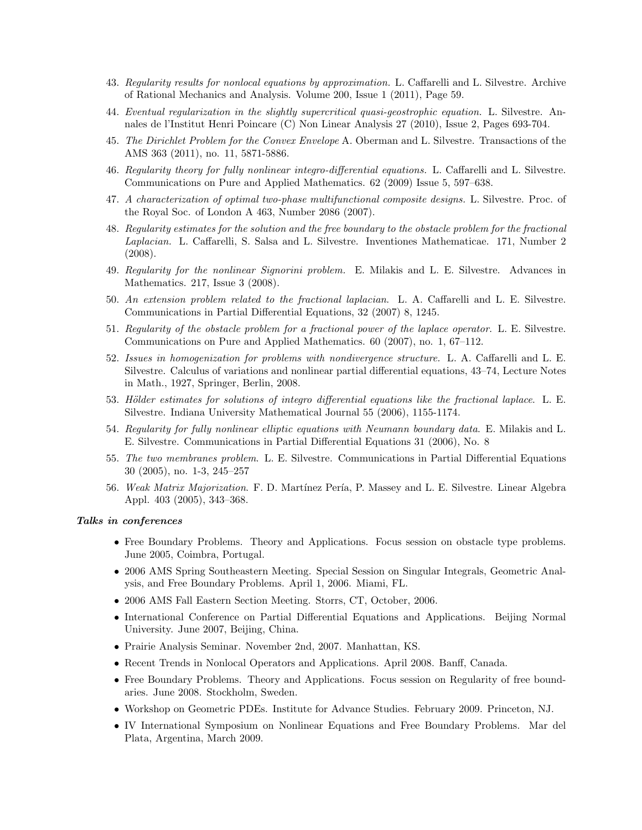- 43. Regularity results for nonlocal equations by approximation. L. Caffarelli and L. Silvestre. Archive of Rational Mechanics and Analysis. Volume 200, Issue 1 (2011), Page 59.
- 44. Eventual regularization in the slightly supercritical quasi-geostrophic equation. L. Silvestre. Annales de l'Institut Henri Poincare (C) Non Linear Analysis 27 (2010), Issue 2, Pages 693-704.
- 45. The Dirichlet Problem for the Convex Envelope A. Oberman and L. Silvestre. Transactions of the AMS 363 (2011), no. 11, 5871-5886.
- 46. Regularity theory for fully nonlinear integro-differential equations. L. Caffarelli and L. Silvestre. Communications on Pure and Applied Mathematics. 62 (2009) Issue 5, 597–638.
- 47. A characterization of optimal two-phase multifunctional composite designs. L. Silvestre. Proc. of the Royal Soc. of London A 463, Number 2086 (2007).
- 48. Regularity estimates for the solution and the free boundary to the obstacle problem for the fractional Laplacian. L. Caffarelli, S. Salsa and L. Silvestre. Inventiones Mathematicae. 171, Number 2 (2008).
- 49. Regularity for the nonlinear Signorini problem. E. Milakis and L. E. Silvestre. Advances in Mathematics. 217, Issue 3 (2008).
- 50. An extension problem related to the fractional laplacian. L. A. Caffarelli and L. E. Silvestre. Communications in Partial Differential Equations, 32 (2007) 8, 1245.
- 51. Regularity of the obstacle problem for a fractional power of the laplace operator. L. E. Silvestre. Communications on Pure and Applied Mathematics. 60 (2007), no. 1, 67–112.
- 52. Issues in homogenization for problems with nondivergence structure. L. A. Caffarelli and L. E. Silvestre. Calculus of variations and nonlinear partial differential equations, 43–74, Lecture Notes in Math., 1927, Springer, Berlin, 2008.
- 53. Hölder estimates for solutions of integro differential equations like the fractional laplace. L. E. Silvestre. Indiana University Mathematical Journal 55 (2006), 1155-1174.
- 54. Regularity for fully nonlinear elliptic equations with Neumann boundary data. E. Milakis and L. E. Silvestre. Communications in Partial Differential Equations 31 (2006), No. 8
- 55. The two membranes problem. L. E. Silvestre. Communications in Partial Differential Equations 30 (2005), no. 1-3, 245–257
- 56. Weak Matrix Majorization. F. D. Martínez Pería, P. Massey and L. E. Silvestre. Linear Algebra Appl. 403 (2005), 343–368.

#### Talks in conferences

- Free Boundary Problems. Theory and Applications. Focus session on obstacle type problems. June 2005, Coimbra, Portugal.
- 2006 AMS Spring Southeastern Meeting. Special Session on Singular Integrals, Geometric Analysis, and Free Boundary Problems. April 1, 2006. Miami, FL.
- 2006 AMS Fall Eastern Section Meeting. Storrs, CT, October, 2006.
- International Conference on Partial Differential Equations and Applications. Beijing Normal University. June 2007, Beijing, China.
- Prairie Analysis Seminar. November 2nd, 2007. Manhattan, KS.
- Recent Trends in Nonlocal Operators and Applications. April 2008. Banff, Canada.
- Free Boundary Problems. Theory and Applications. Focus session on Regularity of free boundaries. June 2008. Stockholm, Sweden.
- Workshop on Geometric PDEs. Institute for Advance Studies. February 2009. Princeton, NJ.
- IV International Symposium on Nonlinear Equations and Free Boundary Problems. Mar del Plata, Argentina, March 2009.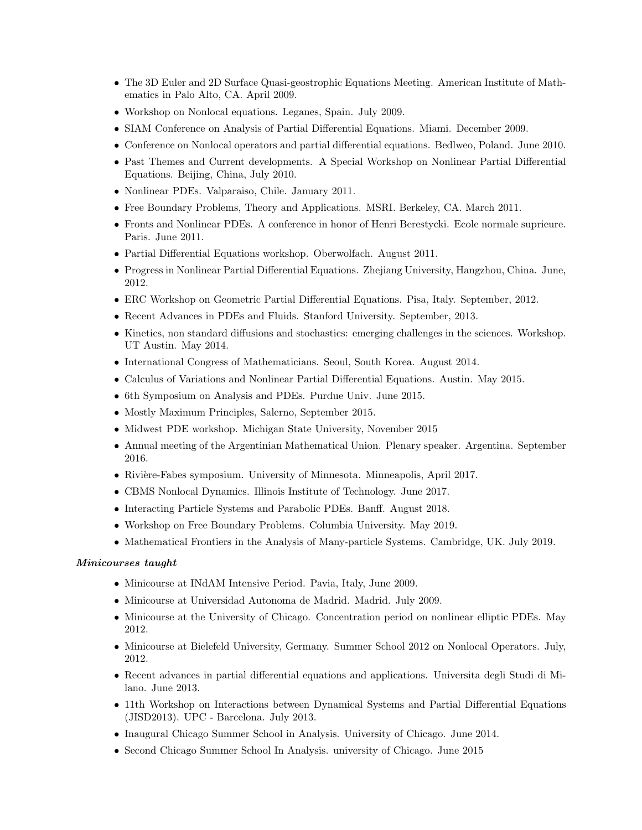- The 3D Euler and 2D Surface Quasi-geostrophic Equations Meeting. American Institute of Mathematics in Palo Alto, CA. April 2009.
- Workshop on Nonlocal equations. Leganes, Spain. July 2009.
- SIAM Conference on Analysis of Partial Differential Equations. Miami. December 2009.
- Conference on Nonlocal operators and partial differential equations. Bedlweo, Poland. June 2010.
- Past Themes and Current developments. A Special Workshop on Nonlinear Partial Differential Equations. Beijing, China, July 2010.
- Nonlinear PDEs. Valparaiso, Chile. January 2011.
- Free Boundary Problems, Theory and Applications. MSRI. Berkeley, CA. March 2011.
- Fronts and Nonlinear PDEs. A conference in honor of Henri Berestycki. Ecole normale suprieure. Paris. June 2011.
- Partial Differential Equations workshop. Oberwolfach. August 2011.
- Progress in Nonlinear Partial Differential Equations. Zhejiang University, Hangzhou, China. June, 2012.
- ERC Workshop on Geometric Partial Differential Equations. Pisa, Italy. September, 2012.
- Recent Advances in PDEs and Fluids. Stanford University. September, 2013.
- Kinetics, non standard diffusions and stochastics: emerging challenges in the sciences. Workshop. UT Austin. May 2014.
- International Congress of Mathematicians. Seoul, South Korea. August 2014.
- Calculus of Variations and Nonlinear Partial Differential Equations. Austin. May 2015.
- 6th Symposium on Analysis and PDEs. Purdue Univ. June 2015.
- Mostly Maximum Principles, Salerno, September 2015.
- Midwest PDE workshop. Michigan State University, November 2015
- Annual meeting of the Argentinian Mathematical Union. Plenary speaker. Argentina. September 2016.
- Rivière-Fabes symposium. University of Minnesota. Minneapolis, April 2017.
- CBMS Nonlocal Dynamics. Illinois Institute of Technology. June 2017.
- Interacting Particle Systems and Parabolic PDEs. Banff. August 2018.
- Workshop on Free Boundary Problems. Columbia University. May 2019.
- Mathematical Frontiers in the Analysis of Many-particle Systems. Cambridge, UK. July 2019.

## Minicourses taught

- Minicourse at INdAM Intensive Period. Pavia, Italy, June 2009.
- Minicourse at Universidad Autonoma de Madrid. Madrid. July 2009.
- Minicourse at the University of Chicago. Concentration period on nonlinear elliptic PDEs. May 2012.
- Minicourse at Bielefeld University, Germany. Summer School 2012 on Nonlocal Operators. July, 2012.
- Recent advances in partial differential equations and applications. Universita degli Studi di Milano. June 2013.
- 11th Workshop on Interactions between Dynamical Systems and Partial Differential Equations (JISD2013). UPC - Barcelona. July 2013.
- Inaugural Chicago Summer School in Analysis. University of Chicago. June 2014.
- Second Chicago Summer School In Analysis. university of Chicago. June 2015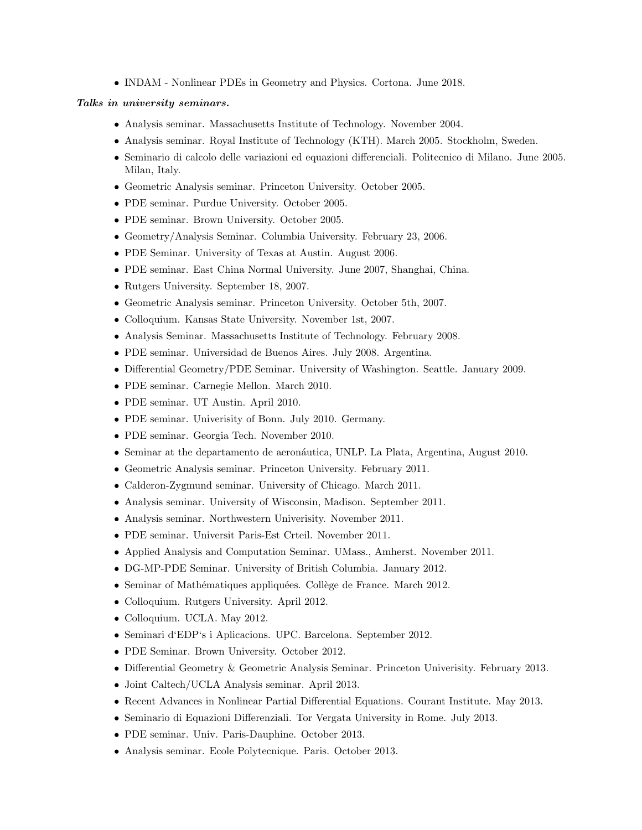• INDAM - Nonlinear PDEs in Geometry and Physics. Cortona. June 2018.

### Talks in university seminars.

- Analysis seminar. Massachusetts Institute of Technology. November 2004.
- Analysis seminar. Royal Institute of Technology (KTH). March 2005. Stockholm, Sweden.
- Seminario di calcolo delle variazioni ed equazioni differenciali. Politecnico di Milano. June 2005. Milan, Italy.
- Geometric Analysis seminar. Princeton University. October 2005.
- PDE seminar. Purdue University. October 2005.
- PDE seminar. Brown University. October 2005.
- Geometry/Analysis Seminar. Columbia University. February 23, 2006.
- PDE Seminar. University of Texas at Austin. August 2006.
- PDE seminar. East China Normal University. June 2007, Shanghai, China.
- Rutgers University. September 18, 2007.
- Geometric Analysis seminar. Princeton University. October 5th, 2007.
- Colloquium. Kansas State University. November 1st, 2007.
- Analysis Seminar. Massachusetts Institute of Technology. February 2008.
- PDE seminar. Universidad de Buenos Aires. July 2008. Argentina.
- Differential Geometry/PDE Seminar. University of Washington. Seattle. January 2009.
- PDE seminar. Carnegie Mellon. March 2010.
- PDE seminar. UT Austin. April 2010.
- PDE seminar. Univerisity of Bonn. July 2010. Germany.
- PDE seminar. Georgia Tech. November 2010.
- Seminar at the departamento de aeronáutica, UNLP. La Plata, Argentina, August 2010.
- Geometric Analysis seminar. Princeton University. February 2011.
- Calderon-Zygmund seminar. University of Chicago. March 2011.
- Analysis seminar. University of Wisconsin, Madison. September 2011.
- Analysis seminar. Northwestern Univerisity. November 2011.
- PDE seminar. Universit Paris-Est Crteil. November 2011.
- Applied Analysis and Computation Seminar. UMass., Amherst. November 2011.
- DG-MP-PDE Seminar. University of British Columbia. January 2012.
- Seminar of Mathématiques appliquées. Collège de France. March 2012.
- Colloquium. Rutgers University. April 2012.
- Colloquium. UCLA. May 2012.
- Seminari d'EDP's i Aplicacions. UPC. Barcelona. September 2012.
- PDE Seminar. Brown University. October 2012.
- Differential Geometry & Geometric Analysis Seminar. Princeton Univerisity. February 2013.
- Joint Caltech/UCLA Analysis seminar. April 2013.
- Recent Advances in Nonlinear Partial Differential Equations. Courant Institute. May 2013.
- Seminario di Equazioni Differenziali. Tor Vergata University in Rome. July 2013.
- PDE seminar. Univ. Paris-Dauphine. October 2013.
- Analysis seminar. Ecole Polytecnique. Paris. October 2013.